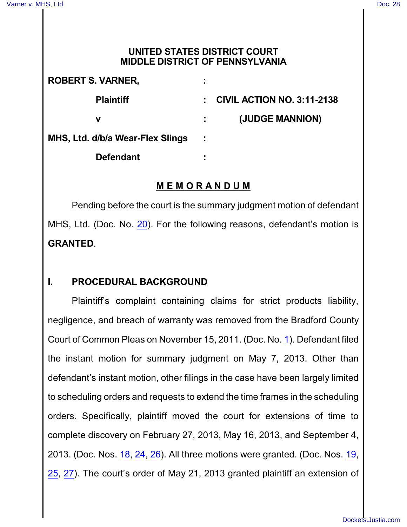### **UNITED STATES DISTRICT COURT MIDDLE DISTRICT OF PENNSYLVANIA**

| <b>ROBERT S. VARNER,</b>         | ÷                                       |
|----------------------------------|-----------------------------------------|
| <b>Plaintiff</b>                 | <b>CIVIL ACTION NO. 3:11-2138</b><br>t. |
| ν                                | (JUDGE MANNION)                         |
| MHS, Ltd. d/b/a Wear-Flex Slings | ÷                                       |
| <b>Defendant</b>                 | ٠                                       |

# **M E M O R A N D U M**

Pending before the court is the summary judgment motion of defendant MHS, Ltd. (Doc. No. [20](http://ecf.pamd.uscourts.gov/doc1/15504189133)). For the following reasons, defendant's motion is **GRANTED**.

# **I. PROCEDURAL BACKGROUND**

Plaintiff's complaint containing claims for strict products liability, negligence, and breach of warranty was removed from the Bradford County Court of Common Pleas on November 15, 2011. (Doc. No. [1](http://ecf.pamd.uscourts.gov/doc1/15503556005)). Defendant filed the instant motion for summary judgment on May 7, 2013. Other than defendant's instant motion, other filings in the case have been largely limited to scheduling orders and requests to extend the time frames in the scheduling orders. Specifically, plaintiff moved the court for extensions of time to complete discovery on February 27, 2013, May 16, 2013, and September 4, 2013. (Doc. Nos. [18](http://ecf.pamd.uscourts.gov/doc1/15504099125), [24](http://ecf.pamd.uscourts.gov/doc1/15504204357), [26](http://ecf.pamd.uscourts.gov/doc1/15504340179)). All three motions were granted. (Doc. Nos. [19](http://ecf.pamd.uscourts.gov/doc1/15504099535), [25](http://ecf.pamd.uscourts.gov/doc1/15504208620), [27](http://ecf.pamd.uscourts.gov/doc1/15504340939)). The court's order of May 21, 2013 granted plaintiff an extension of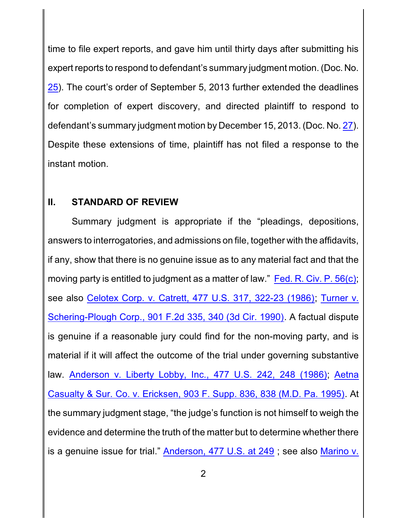time to file expert reports, and gave him until thirty days after submitting his expert reports to respond to defendant's summary judgment motion. (Doc. No. [25](http://ecf.pamd.uscourts.gov/doc1/15504208620)). The court's order of September 5, 2013 further extended the deadlines for completion of expert discovery, and directed plaintiff to respond to defendant's summary judgment motion by December 15, 2013. (Doc. No. [27](http://ecf.pamd.uscourts.gov/doc1/15504340939)). Despite these extensions of time, plaintiff has not filed a response to the instant motion.

### **II. STANDARD OF REVIEW**

Summary judgment is appropriate if the "pleadings, depositions, answers to interrogatories, and admissions on file, together with the affidavits, if any, show that there is no genuine issue as to any material fact and that the moving party is entitled to judgment as a matter of law." Fed. [R. Civ. P.](http://westlaw.com/find/default.wl?ft=L&docname=USFRCPR56&rs=btil2.0&rp=%2ffind%2fdefault.wl&fn=_top&findtype=L&vr=2.0&db=1000600&wbtoolsId=USFRCPR56&HistoryType=F) 56(c); see also Celotex Corp. v. Catrett, 477 U.S. 317, [322-23 \(1986\)](http://westlaw.com/find/default.wl?ft=Y&referencepositiontype=S&rs=btil2.0&rp=%2ffind%2fdefault.wl&serialnum=1986132677&fn=_top&referenceposition=322&findtype=Y&vr=2.0&db=0000780&wbtoolsId=1986132677&HistoryType=F); [Turner](http://westlaw.com/find/default.wl?ft=Y&referencepositiontype=S&rs=btil2.0&rp=%2ffind%2fdefault.wl&serialnum=1990067742&fn=_top&referenceposition=340&findtype=Y&vr=2.0&db=0000350&wbtoolsId=1990067742&HistoryType=F) v. [Schering-Plough](http://westlaw.com/find/default.wl?ft=Y&referencepositiontype=S&rs=btil2.0&rp=%2ffind%2fdefault.wl&serialnum=1990067742&fn=_top&referenceposition=340&findtype=Y&vr=2.0&db=0000350&wbtoolsId=1990067742&HistoryType=F) Corp., 901 F.2d 335, 340 (3d Cir. 1990). A factual dispute is genuine if a reasonable jury could find for the non-moving party, and is material if it will affect the outcome of the trial under governing substantive law. [Anderson v. Liberty Lobby, Inc., 477 U.S.](http://westlaw.com/find/default.wl?ft=Y&referencepositiontype=S&rs=btil2.0&rp=%2ffind%2fdefault.wl&serialnum=1986132674&fn=_top&referenceposition=248&findtype=Y&vr=2.0&db=0000780&wbtoolsId=1986132674&HistoryType=F) 242, 248 (1986); [Aetna](http://westlaw.com/find/default.wl?ft=Y&referencepositiontype=S&rs=btil2.0&rp=%2ffind%2fdefault.wl&serialnum=1995225725&fn=_top&referenceposition=838&findtype=Y&vr=2.0&db=0000345&wbtoolsId=1995225725&HistoryType=F) Casualty & Sur. [Co. v. Ericksen, 903 F. Supp. 836, 838 \(M.D. Pa. 1995\)](http://westlaw.com/find/default.wl?ft=Y&referencepositiontype=S&rs=btil2.0&rp=%2ffind%2fdefault.wl&serialnum=1995225725&fn=_top&referenceposition=838&findtype=Y&vr=2.0&db=0000345&wbtoolsId=1995225725&HistoryType=F). At the summary judgment stage, "the judge's function is not himself to weigh the evidence and determine the truth of the matter but to determine whether there is a genuine issue for trial." [Anderson,](http://westlaw.com/find/default.wl?ft=Y&referencepositiontype=S&rs=btil2.0&rp=%2ffind%2fdefault.wl&serialnum=1986132674&fn=_top&referenceposition=248&findtype=Y&vr=2.0&db=0000780&wbtoolsId=1986132674&HistoryType=F) 477 U.S. at 249 ; see also [Marino](http://westlaw.com/find/default.wl?ft=Y&referencepositiontype=S&rs=btil2.0&rp=%2ffind%2fdefault.wl&serialnum=2004144570&fn=_top&referenceposition=247&findtype=Y&vr=2.0&db=0000506&wbtoolsId=2004144570&HistoryType=F) v.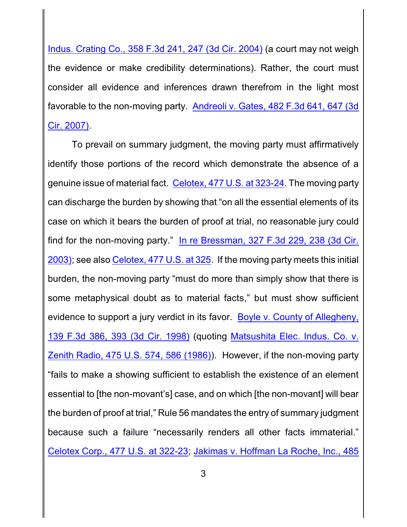Indus. Crating Co., 358 F.3d 241, 247 (3d Cir. 2004) (a court may not weigh the evidence or make credibility determinations). Rather, the court must consider all evidence and inferences drawn therefrom in the light most favorable to the non-moving party. [Andreoli v. Gates, 482 F.3d](http://westlaw.com/find/default.wl?ft=Y&referencepositiontype=S&rs=btil2.0&rp=%2ffind%2fdefault.wl&serialnum=2011888780&fn=_top&referenceposition=647&findtype=Y&vr=2.0&db=0000506&wbtoolsId=2011888780&HistoryType=F) 641, 647 (3d [Cir. 2007\)](http://westlaw.com/find/default.wl?ft=Y&referencepositiontype=S&rs=btil2.0&rp=%2ffind%2fdefault.wl&serialnum=2011888780&fn=_top&referenceposition=647&findtype=Y&vr=2.0&db=0000506&wbtoolsId=2011888780&HistoryType=F).

To prevail on summary judgment, the moving party must affirmatively identify those portions of the record which demonstrate the absence of a genuine issue of material fact. [Celotex, 477 U.S.](http://westlaw.com/find/default.wl?ft=Y&referencepositiontype=S&rs=btil2.0&rp=%2ffind%2fdefault.wl&serialnum=1986132677&fn=_top&referenceposition=322&findtype=Y&vr=2.0&db=0000780&wbtoolsId=1986132677&HistoryType=F) at 323-24. The moving party can discharge the burden by showing that "on all the essential elements of its case on which it bears the burden of proof at trial, no reasonable jury could find for the non-moving party." [In re Bressman,](http://westlaw.com/find/default.wl?ft=Y&referencepositiontype=S&rs=btil2.0&rp=%2ffind%2fdefault.wl&serialnum=2003314002&fn=_top&referenceposition=238&findtype=Y&vr=2.0&db=0000506&wbtoolsId=2003314002&HistoryType=F) 327 F.3d 229, 238 (3d Cir. [2003\)](http://westlaw.com/find/default.wl?ft=Y&referencepositiontype=S&rs=btil2.0&rp=%2ffind%2fdefault.wl&serialnum=2003314002&fn=_top&referenceposition=238&findtype=Y&vr=2.0&db=0000506&wbtoolsId=2003314002&HistoryType=F); see also [Celotex, 477 U.S.](http://westlaw.com/find/default.wl?ft=Y&referencepositiontype=S&rs=btil2.0&rp=%2ffind%2fdefault.wl&serialnum=1986132677&fn=_top&referenceposition=322&findtype=Y&vr=2.0&db=0000780&wbtoolsId=1986132677&HistoryType=F) at 325. If the moving party meets this initial burden, the non-moving party "must do more than simply show that there is some metaphysical doubt as to material facts," but must show sufficient evidence to support a jury verdict in its favor. [Boyle v. County of Allegheny,](http://westlaw.com/find/default.wl?ft=Y&referencepositiontype=S&rs=btil2.0&rp=%2ffind%2fdefault.wl&serialnum=1998075483&fn=_top&referenceposition=393&findtype=Y&vr=2.0&db=0000506&wbtoolsId=1998075483&HistoryType=F) 139 F.3d 386, [393 \(3d Cir.](http://westlaw.com/find/default.wl?ft=Y&referencepositiontype=S&rs=btil2.0&rp=%2ffind%2fdefault.wl&serialnum=1998075483&fn=_top&referenceposition=393&findtype=Y&vr=2.0&db=0000506&wbtoolsId=1998075483&HistoryType=F) 1998) (quoting [Matsushita Elec. Indus. Co. v.](http://westlaw.com/find/default.wl?ft=Y&referencepositiontype=S&rs=btil2.0&rp=%2ffind%2fdefault.wl&serialnum=1986115992&fn=_top&referenceposition=586&findtype=Y&vr=2.0&db=0000780&wbtoolsId=1986115992&HistoryType=F) [Zenith Radio, 475 U.S. 574,](http://westlaw.com/find/default.wl?ft=Y&referencepositiontype=S&rs=btil2.0&rp=%2ffind%2fdefault.wl&serialnum=1986115992&fn=_top&referenceposition=586&findtype=Y&vr=2.0&db=0000780&wbtoolsId=1986115992&HistoryType=F) 586 (1986)). However, if the non-moving party "fails to make a showing sufficient to establish the existence of an element essential to [the non-movant's] case, and on which [the non-movant] will bear the burden of proof at trial," Rule 56 mandates the entry of summary judgment because such a failure "necessarily renders all other facts immaterial." [Celotex Corp., 477 U.S. at 322-23](http://westlaw.com/find/default.wl?ft=Y&referencepositiontype=S&rs=btil2.0&rp=%2ffind%2fdefault.wl&serialnum=1986132677&fn=_top&referenceposition=322&findtype=Y&vr=2.0&db=0000780&wbtoolsId=1986132677&HistoryType=F); [Jakimas v. Hoffman La Roche, Inc., 485](http://westlaw.com/find/default.wl?ft=Y&referencepositiontype=S&rs=btil2.0&rp=%2ffind%2fdefault.wl&serialnum=2012238040&fn=_top&referenceposition=777&findtype=Y&vr=2.0&db=0000506&wbtoolsId=2012238040&HistoryType=F)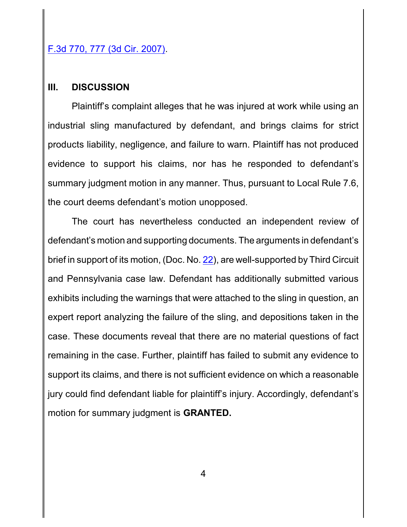# F.3d 770, 777 (3d Cir. 2007).

#### **III. DISCUSSION**

Plaintiff's complaint alleges that he was injured at work while using an industrial sling manufactured by defendant, and brings claims for strict products liability, negligence, and failure to warn. Plaintiff has not produced evidence to support his claims, nor has he responded to defendant's summary judgment motion in any manner. Thus, pursuant to Local Rule 7.6, the court deems defendant's motion unopposed.

The court has nevertheless conducted an independent review of defendant's motion and supporting documents. The arguments in defendant's brief in support of its motion, (Doc. No. [22](http://ecf.pamd.uscourts.gov/doc1/15504189196)), are well-supported by Third Circuit and Pennsylvania case law. Defendant has additionally submitted various exhibits including the warnings that were attached to the sling in question, an expert report analyzing the failure of the sling, and depositions taken in the case. These documents reveal that there are no material questions of fact remaining in the case. Further, plaintiff has failed to submit any evidence to support its claims, and there is not sufficient evidence on which a reasonable jury could find defendant liable for plaintiff's injury. Accordingly, defendant's motion for summary judgment is **GRANTED.**